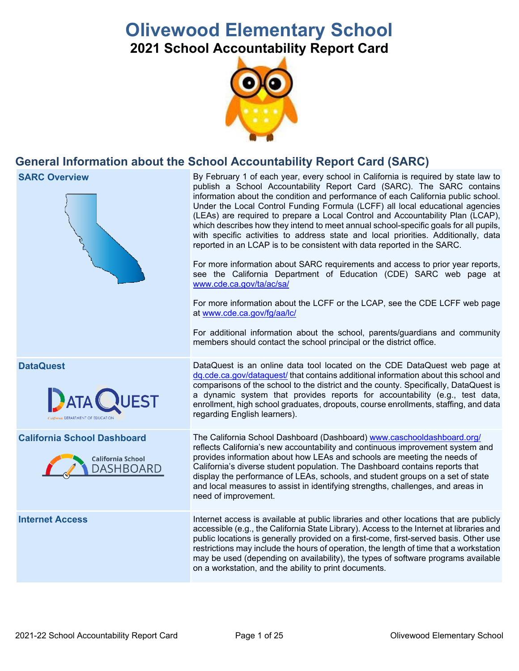# **Olivewood Elementary School**

**2021 School Accountability Report Card** 



# **General Information about the School Accountability Report Card (SARC)**

# ەس<br>مەس

 Under the Local Control Funding Formula (LCFF) all local educational agencies reported in an LCAP is to be consistent with data reported in the SARC. By February 1 of each year, every school in California is required by state law to publish a School Accountability Report Card (SARC). The SARC contains information about the condition and performance of each California public school. (LEAs) are required to prepare a Local Control and Accountability Plan (LCAP), which describes how they intend to meet annual school-specific goals for all pupils, with specific activities to address state and local priorities. Additionally, data

For more information about SARC requirements and access to prior year reports, see the California Department of Education (CDE) SARC web page at [www.cde.ca.gov/ta/ac/sa/](https://www.cde.ca.gov/ta/ac/sa/)

For more information about the LCFF or the LCAP, see the CDE LCFF web page at [www.cde.ca.gov/fg/aa/lc/](https://www.cde.ca.gov/fg/aa/lc/) 

For additional information about the school, parents/guardians and community members should contact the school principal or the district office.

 enrollment, high school graduates, dropouts, course enrollments, staffing, and data DataQuest is an online data tool located on the CDE DataQuest web page at [dq.cde.ca.gov/dataquest/](https://dq.cde.ca.gov/dataquest/) that contains additional information about this school and comparisons of the school to the district and the county. Specifically, DataQuest is a dynamic system that provides reports for accountability (e.g., test data, regarding English learners).

 California's diverse student population. The Dashboard contains reports that The California School Dashboard (Dashboard) [www.caschooldashboard.org/](http://www.caschooldashboard.org/)  reflects California's new accountability and continuous improvement system and provides information about how LEAs and schools are meeting the needs of display the performance of LEAs, schools, and student groups on a set of state and local measures to assist in identifying strengths, challenges, and areas in need of improvement.

Internet access is available at public libraries and other locations that are publicly accessible (e.g., the California State Library). Access to the Internet at libraries and public locations is generally provided on a first-come, first-served basis. Other use restrictions may include the hours of operation, the length of time that a workstation may be used (depending on availability), the types of software programs available on a workstation, and the ability to print documents.

**DataQuest** 

**SARC Overview** 



**California School Dashboard** 



**Internet Access**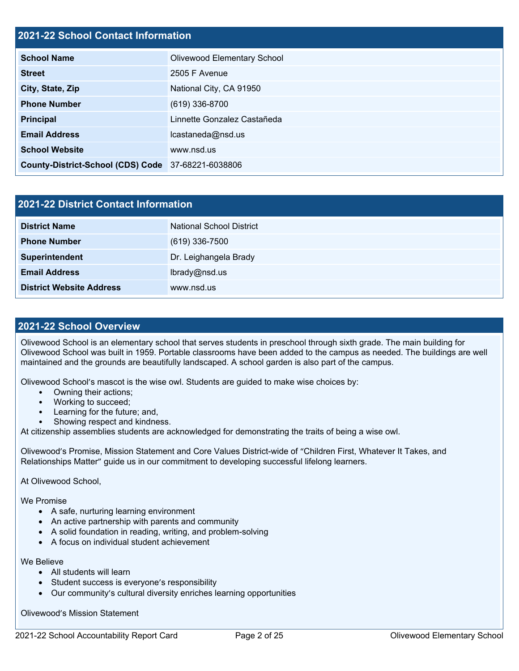# **2021-22 School Contact Information**

| <b>School Name</b>                                 | <b>Olivewood Elementary School</b> |  |  |  |
|----------------------------------------------------|------------------------------------|--|--|--|
| <b>Street</b>                                      | 2505 F Avenue                      |  |  |  |
| City, State, Zip                                   | National City, CA 91950            |  |  |  |
| <b>Phone Number</b>                                | (619) 336-8700                     |  |  |  |
| Principal                                          | Linnette Gonzalez Castañeda        |  |  |  |
| <b>Email Address</b>                               | lcastaneda@nsd.us                  |  |  |  |
| <b>School Website</b>                              | www.nsd.us                         |  |  |  |
| County-District-School (CDS) Code 37-68221-6038806 |                                    |  |  |  |

| 2021-22 District Contact Information |                                 |  |  |
|--------------------------------------|---------------------------------|--|--|
| <b>District Name</b>                 | <b>National School District</b> |  |  |
| <b>Phone Number</b>                  | $(619)$ 336-7500                |  |  |
| Superintendent                       | Dr. Leighangela Brady           |  |  |
| <b>Email Address</b>                 | lbrady@nsd.us                   |  |  |
| <b>District Website Address</b>      | www.nsd.us                      |  |  |

# **2021-22 School Overview**

 Olivewood School is an elementary school that serves students in preschool through sixth grade. The main building for Olivewood School was built in 1959. Portable classrooms have been added to the campus as needed. The buildings are well maintained and the grounds are beautifully landscaped. A school garden is also part of the campus.

Olivewood School's mascot is the wise owl. Students are guided to make wise choices by:

- Owning their actions;
- Working to succeed;
- Learning for the future; and,
- Showing respect and kindness.

At citizenship assemblies students are acknowledged for demonstrating the traits of being a wise owl.

Olivewood's Promise, Mission Statement and Core Values District-wide of "Children First, Whatever It Takes, and Relationships Matter" guide us in our commitment to developing successful lifelong learners.

At Olivewood School,

We Promise

- A safe, nurturing learning environment
- An active partnership with parents and community
- A solid foundation in reading, writing, and problem-solving
- A focus on individual student achievement

We Believe

- All students will learn
- Student success is everyone's responsibility
- Our community's cultural diversity enriches learning opportunities

Olivewood's Mission Statement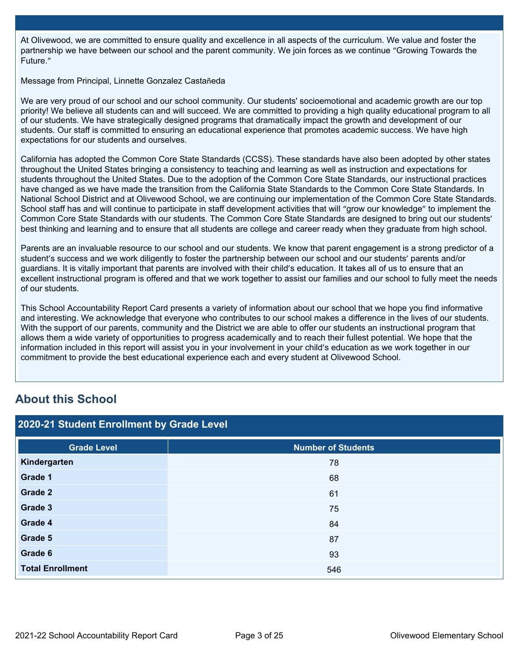At Olivewood, we are committed to ensure quality and excellence in all aspects of the curriculum. We value and foster the partnership we have between our school and the parent community. We join forces as we continue "Growing Towards the Future."

Message from Principal, Linnette Gonzalez Castañeda

We are very proud of our school and our school community. Our students' socioemotional and academic growth are our top priority! We believe all students can and will succeed. We are committed to providing a high quality educational program to all of our students. We have strategically designed programs that dramatically impact the growth and development of our students. Our staff is committed to ensuring an educational experience that promotes academic success. We have high expectations for our students and ourselves.

California has adopted the Common Core State Standards (CCSS). These standards have also been adopted by other states throughout the United States bringing a consistency to teaching and learning as well as instruction and expectations for students throughout the United States. Due to the adoption of the Common Core State Standards, our instructional practices have changed as we have made the transition from the California State Standards to the Common Core State Standards. In National School District and at Olivewood School, we are continuing our implementation of the Common Core State Standards. School staff has and will continue to participate in staff development activities that will "grow our knowledge" to implement the Common Core State Standards with our students. The Common Core State Standards are designed to bring out our students' best thinking and learning and to ensure that all students are college and career ready when they graduate from high school.

Parents are an invaluable resource to our school and our students. We know that parent engagement is a strong predictor of a student's success and we work diligently to foster the partnership between our school and our students' parents and/or guardians. It is vitally important that parents are involved with their child's education. It takes all of us to ensure that an excellent instructional program is offered and that we work together to assist our families and our school to fully meet the needs of our students.

This School Accountability Report Card presents a variety of information about our school that we hope you find informative and interesting. We acknowledge that everyone who contributes to our school makes a difference in the lives of our students. With the support of our parents, community and the District we are able to offer our students an instructional program that allows them a wide variety of opportunities to progress academically and to reach their fullest potential. We hope that the information included in this report will assist you in your involvement in your child's education as we work together in our commitment to provide the best educational experience each and every student at Olivewood School.

# **About this School**

| 2020-21 Student Enrollment by Grade Level |                           |                             |  |  |  |
|-------------------------------------------|---------------------------|-----------------------------|--|--|--|
| <b>Grade Level</b>                        | <b>Number of Students</b> |                             |  |  |  |
| Kindergarten                              | 78                        |                             |  |  |  |
| Grade 1                                   | 68                        |                             |  |  |  |
| Grade 2                                   | 61                        |                             |  |  |  |
| Grade 3                                   | 75                        |                             |  |  |  |
| Grade 4                                   | 84                        |                             |  |  |  |
| Grade 5                                   | 87                        |                             |  |  |  |
| Grade 6                                   | 93                        |                             |  |  |  |
| <b>Total Enrollment</b>                   | 546                       |                             |  |  |  |
|                                           |                           |                             |  |  |  |
|                                           |                           |                             |  |  |  |
|                                           |                           |                             |  |  |  |
| 2021-22 School Accountability Report Card | Page 3 of 25              | Olivewood Elementary School |  |  |  |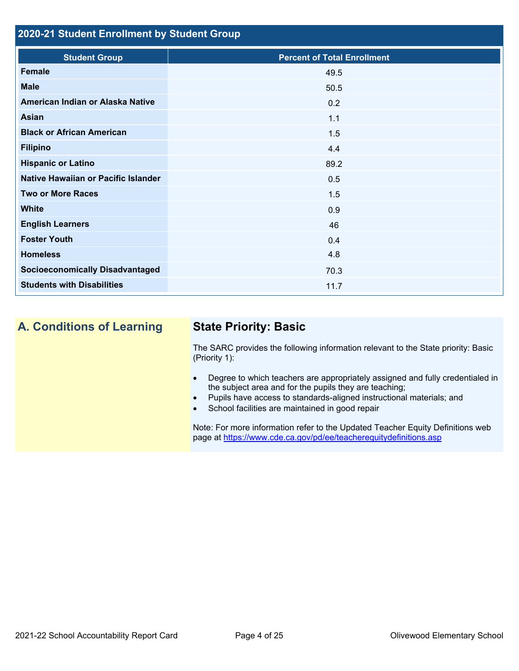# **2020-21 Student Enrollment by Student Group**

| <b>Student Group</b>                   | <b>Percent of Total Enrollment</b> |
|----------------------------------------|------------------------------------|
| Female                                 | 49.5                               |
| <b>Male</b>                            | 50.5                               |
| American Indian or Alaska Native       | 0.2                                |
| Asian                                  | 1.1                                |
| <b>Black or African American</b>       | 1.5                                |
| <b>Filipino</b>                        | 4.4                                |
| <b>Hispanic or Latino</b>              | 89.2                               |
| Native Hawaiian or Pacific Islander    | 0.5                                |
| <b>Two or More Races</b>               | 1.5                                |
| <b>White</b>                           | 0.9                                |
| <b>English Learners</b>                | 46                                 |
| <b>Foster Youth</b>                    | 0.4                                |
| <b>Homeless</b>                        | 4.8                                |
| <b>Socioeconomically Disadvantaged</b> | 70.3                               |
| <b>Students with Disabilities</b>      | 11.7                               |

# **A. Conditions of Learning State Priority: Basic**

The SARC provides the following information relevant to the State priority: Basic (Priority 1):

- Degree to which teachers are appropriately assigned and fully credentialed in the subject area and for the pupils they are teaching;
- Pupils have access to standards-aligned instructional materials; and
- School facilities are maintained in good repair

page at <https://www.cde.ca.gov/pd/ee/teacherequitydefinitions.asp> Note: For more information refer to the Updated Teacher Equity Definitions web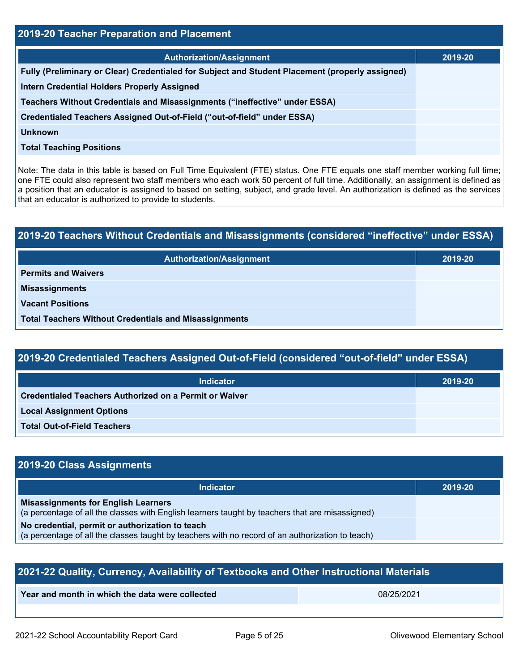| 2019-20 Teacher Preparation and Placement                                                                                                                                                                                                                                                                                                                                                                                                                         |         |  |  |
|-------------------------------------------------------------------------------------------------------------------------------------------------------------------------------------------------------------------------------------------------------------------------------------------------------------------------------------------------------------------------------------------------------------------------------------------------------------------|---------|--|--|
| <b>Authorization/Assignment</b>                                                                                                                                                                                                                                                                                                                                                                                                                                   | 2019-20 |  |  |
| Fully (Preliminary or Clear) Credentialed for Subject and Student Placement (properly assigned)                                                                                                                                                                                                                                                                                                                                                                   |         |  |  |
| Intern Credential Holders Properly Assigned                                                                                                                                                                                                                                                                                                                                                                                                                       |         |  |  |
| Teachers Without Credentials and Misassignments ("ineffective" under ESSA)                                                                                                                                                                                                                                                                                                                                                                                        |         |  |  |
| Credentialed Teachers Assigned Out-of-Field ("out-of-field" under ESSA)                                                                                                                                                                                                                                                                                                                                                                                           |         |  |  |
| <b>Unknown</b>                                                                                                                                                                                                                                                                                                                                                                                                                                                    |         |  |  |
| <b>Total Teaching Positions</b>                                                                                                                                                                                                                                                                                                                                                                                                                                   |         |  |  |
| Note: The data in this table is based on Full Time Equivalent (FTE) status. One FTE equals one staff member working full time;<br>one FTE could also represent two staff members who each work 50 percent of full time. Additionally, an assignment is defined as<br>a position that an educator is assigned to based on setting, subject, and grade level. An authorization is defined as the services<br>that an educator is authorized to provide to students. |         |  |  |
|                                                                                                                                                                                                                                                                                                                                                                                                                                                                   |         |  |  |
| 2019-20 Teachers Without Credentials and Misassignments (considered "ineffective" under ESSA)                                                                                                                                                                                                                                                                                                                                                                     |         |  |  |
| <b>Authorization/Assignment</b>                                                                                                                                                                                                                                                                                                                                                                                                                                   | 2019-20 |  |  |
| <b>Permits and Waivers</b>                                                                                                                                                                                                                                                                                                                                                                                                                                        |         |  |  |
| <b>Misassignments</b>                                                                                                                                                                                                                                                                                                                                                                                                                                             |         |  |  |
| <b>Vacant Positions</b>                                                                                                                                                                                                                                                                                                                                                                                                                                           |         |  |  |

| 2019-20 Teachers Without Credentials and Misassignments (considered "ineffective" under ESSA) |         |  |
|-----------------------------------------------------------------------------------------------|---------|--|
| <b>Authorization/Assignment</b>                                                               | 2019-20 |  |
| <b>Permits and Waivers</b>                                                                    |         |  |
| <b>Misassignments</b>                                                                         |         |  |
| <b>Vacant Positions</b>                                                                       |         |  |
| <b>Total Teachers Without Credentials and Misassignments</b>                                  |         |  |

| 2019-20 Credentialed Teachers Assigned Out-of-Field (considered "out-of-field" under ESSA) |
|--------------------------------------------------------------------------------------------|
|--------------------------------------------------------------------------------------------|

| <b>Indicator</b>                                       | 2019-20 |
|--------------------------------------------------------|---------|
| Credentialed Teachers Authorized on a Permit or Waiver |         |
| <b>Local Assignment Options</b>                        |         |
| <b>Total Out-of-Field Teachers</b>                     |         |

# **2019-20 Class Assignments**

| <b>Indicator</b>                                                                                 | 2019-20 |
|--------------------------------------------------------------------------------------------------|---------|
| <b>Misassignments for English Learners</b>                                                       |         |
| (a percentage of all the classes with English learners taught by teachers that are misassigned)  |         |
| No credential, permit or authorization to teach                                                  |         |
| (a percentage of all the classes taught by teachers with no record of an authorization to teach) |         |

| 2021-22 Quality, Currency, Availability of Textbooks and Other Instructional Materials |  |  |  |
|----------------------------------------------------------------------------------------|--|--|--|
| Year and month in which the data were collected<br>08/25/2021                          |  |  |  |
|                                                                                        |  |  |  |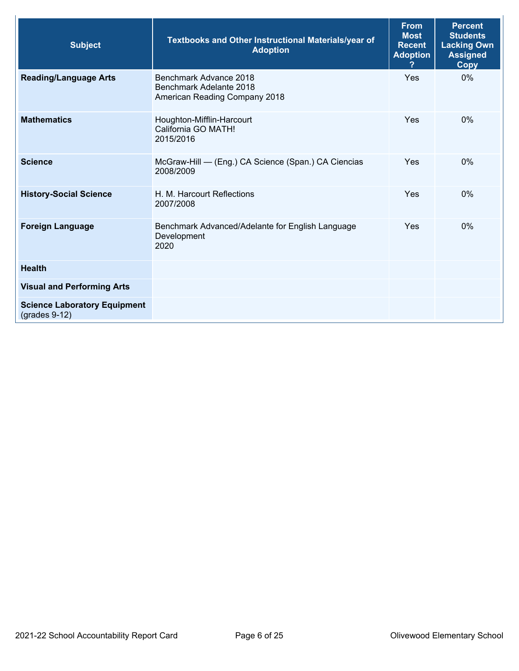| <b>Subject</b>                                         | <b>Textbooks and Other Instructional Materials/year of</b><br><b>Adoption</b>      | <b>From</b><br><b>Most</b><br><b>Recent</b><br><b>Adoption</b> | <b>Percent</b><br><b>Students</b><br><b>Lacking Own</b><br><b>Assigned</b><br>Copy |
|--------------------------------------------------------|------------------------------------------------------------------------------------|----------------------------------------------------------------|------------------------------------------------------------------------------------|
| <b>Reading/Language Arts</b>                           | Benchmark Advance 2018<br>Benchmark Adelante 2018<br>American Reading Company 2018 | Yes                                                            | $0\%$                                                                              |
| <b>Mathematics</b>                                     | Houghton-Mifflin-Harcourt<br>California GO MATH!<br>2015/2016                      | Yes                                                            | $0\%$                                                                              |
| <b>Science</b>                                         | McGraw-Hill - (Eng.) CA Science (Span.) CA Ciencias<br>2008/2009                   | <b>Yes</b>                                                     | 0%                                                                                 |
| <b>History-Social Science</b>                          | H. M. Harcourt Reflections<br>2007/2008                                            | Yes                                                            | $0\%$                                                                              |
| <b>Foreign Language</b>                                | Benchmark Advanced/Adelante for English Language<br>Development<br>2020            | Yes                                                            | $0\%$                                                                              |
| <b>Health</b>                                          |                                                                                    |                                                                |                                                                                    |
| <b>Visual and Performing Arts</b>                      |                                                                                    |                                                                |                                                                                    |
| <b>Science Laboratory Equipment</b><br>$(grades 9-12)$ |                                                                                    |                                                                |                                                                                    |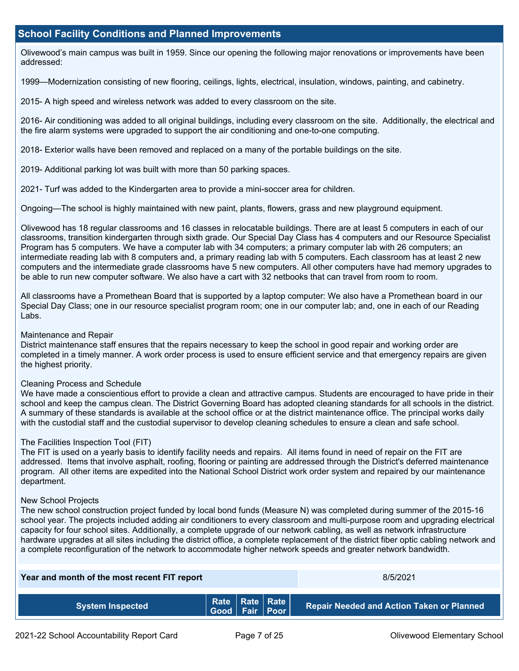# **School Facility Conditions and Planned Improvements**

 Olivewood's main campus was built in 1959. Since our opening the following major renovations or improvements have been addressed:

1999—Modernization consisting of new flooring, ceilings, lights, electrical, insulation, windows, painting, and cabinetry.

2015- A high speed and wireless network was added to every classroom on the site.

 2016- Air conditioning was added to all original buildings, including every classroom on the site. Additionally, the electrical and the fire alarm systems were upgraded to support the air conditioning and one-to-one computing.

2018- Exterior walls have been removed and replaced on a many of the portable buildings on the site.

2019- Additional parking lot was built with more than 50 parking spaces.

2021- Turf was added to the Kindergarten area to provide a mini-soccer area for children.

Ongoing—The school is highly maintained with new paint, plants, flowers, grass and new playground equipment.

 Program has 5 computers. We have a computer lab with 34 computers; a primary computer lab with 26 computers; an computers and the intermediate grade classrooms have 5 new computers. All other computers have had memory upgrades to be able to run new computer software. We also have a cart with 32 netbooks that can travel from room to room. Olivewood has 18 regular classrooms and 16 classes in relocatable buildings. There are at least 5 computers in each of our classrooms, transition kindergarten through sixth grade. Our Special Day Class has 4 computers and our Resource Specialist intermediate reading lab with 8 computers and, a primary reading lab with 5 computers. Each classroom has at least 2 new

All classrooms have a Promethean Board that is supported by a laptop computer: We also have a Promethean board in our Special Day Class; one in our resource specialist program room; one in our computer lab; and, one in each of our Reading Labs.

### Maintenance and Repair

District maintenance staff ensures that the repairs necessary to keep the school in good repair and working order are completed in a timely manner. A work order process is used to ensure efficient service and that emergency repairs are given the highest priority.

#### Cleaning Process and Schedule

 We have made a conscientious effort to provide a clean and attractive campus. Students are encouraged to have pride in their A summary of these standards is available at the school office or at the district maintenance office. The principal works daily with the custodial staff and the custodial supervisor to develop cleaning schedules to ensure a clean and safe school. school and keep the campus clean. The District Governing Board has adopted cleaning standards for all schools in the district.

#### The Facilities Inspection Tool (FIT)

 The FIT is used on a yearly basis to identify facility needs and repairs. All items found in need of repair on the FIT are addressed. Items that involve asphalt, roofing, flooring or painting are addressed through the District's deferred maintenance program. All other items are expedited into the National School District work order system and repaired by our maintenance department.

#### New School Projects

The new school construction project funded by local bond funds (Measure N) was completed during summer of the 2015-16 school year. The projects included adding air conditioners to every classroom and multi-purpose room and upgrading electrical capacity for four school sites. Additionally, a complete upgrade of our network cabling, as well as network infrastructure hardware upgrades at all sites including the district office, a complete replacement of the district fiber optic cabling network and a complete reconfiguration of the network to accommodate higher network speeds and greater network bandwidth.

| Year and month of the most recent FIT report |                                              | 8/5/2021 |  |                                                  |
|----------------------------------------------|----------------------------------------------|----------|--|--------------------------------------------------|
| <b>System Inspected</b>                      | Rate   Rate   Rate  <br>  Good   Fair   Poor |          |  | <b>Repair Needed and Action Taken or Planned</b> |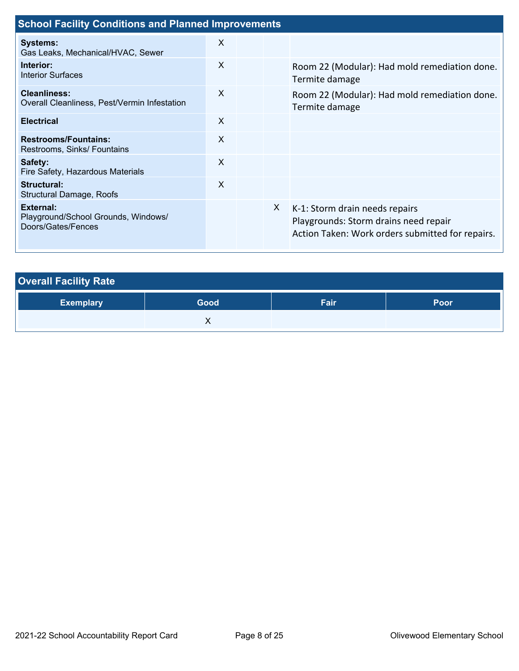| <b>School Facility Conditions and Planned Improvements</b>             |                           |  |   |                                                                                                                             |  |  |  |  |
|------------------------------------------------------------------------|---------------------------|--|---|-----------------------------------------------------------------------------------------------------------------------------|--|--|--|--|
| <b>Systems:</b><br>Gas Leaks, Mechanical/HVAC, Sewer                   | X                         |  |   |                                                                                                                             |  |  |  |  |
| Interior:<br><b>Interior Surfaces</b>                                  | X                         |  |   | Room 22 (Modular): Had mold remediation done.<br>Termite damage                                                             |  |  |  |  |
| <b>Cleanliness:</b><br>Overall Cleanliness, Pest/Vermin Infestation    | $\boldsymbol{\mathsf{X}}$ |  |   | Room 22 (Modular): Had mold remediation done.<br>Termite damage                                                             |  |  |  |  |
| <b>Electrical</b>                                                      | X                         |  |   |                                                                                                                             |  |  |  |  |
| <b>Restrooms/Fountains:</b><br>Restrooms, Sinks/ Fountains             | X                         |  |   |                                                                                                                             |  |  |  |  |
| Safety:<br>Fire Safety, Hazardous Materials                            | $\boldsymbol{\mathsf{X}}$ |  |   |                                                                                                                             |  |  |  |  |
| Structural:<br><b>Structural Damage, Roofs</b>                         | $\boldsymbol{\mathsf{X}}$ |  |   |                                                                                                                             |  |  |  |  |
| External:<br>Playground/School Grounds, Windows/<br>Doors/Gates/Fences |                           |  | X | K-1: Storm drain needs repairs<br>Playgrounds: Storm drains need repair<br>Action Taken: Work orders submitted for repairs. |  |  |  |  |

| <b>Overall Facility Rate</b> |      |      |      |  |  |  |  |  |
|------------------------------|------|------|------|--|--|--|--|--|
| <b>Exemplary</b>             | Good | Fair | Poor |  |  |  |  |  |
|                              |      |      |      |  |  |  |  |  |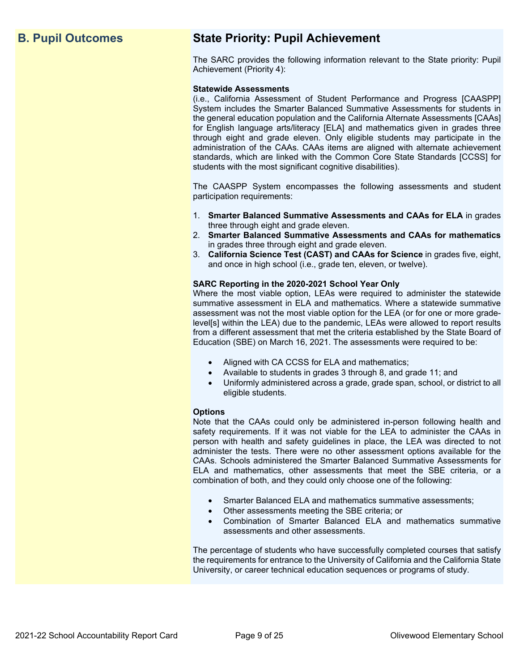# **B. Pupil Outcomes State Priority: Pupil Achievement**

The SARC provides the following information relevant to the State priority: Pupil Achievement (Priority 4):

## **Statewide Assessments**

 (i.e., California Assessment of Student Performance and Progress [CAASPP] System includes the Smarter Balanced Summative Assessments for students in for English language arts/literacy [ELA] and mathematics given in grades three through eight and grade eleven. Only eligible students may participate in the standards, which are linked with the Common Core State Standards [CCSS] for the general education population and the California Alternate Assessments [CAAs] administration of the CAAs. CAAs items are aligned with alternate achievement students with the most significant cognitive disabilities).

The CAASPP System encompasses the following assessments and student participation requirements:

- 1. **Smarter Balanced Summative Assessments and CAAs for ELA** in grades three through eight and grade eleven.
- 2. **Smarter Balanced Summative Assessments and CAAs for mathematics**  in grades three through eight and grade eleven.
- 3. **California Science Test (CAST) and CAAs for Science** in grades five, eight, and once in high school (i.e., grade ten, eleven, or twelve).

## **SARC Reporting in the 2020-2021 School Year Only**

Where the most viable option, LEAs were required to administer the statewide summative assessment in ELA and mathematics. Where a statewide summative assessment was not the most viable option for the LEA (or for one or more gradelevel[s] within the LEA) due to the pandemic, LEAs were allowed to report results from a different assessment that met the criteria established by the State Board of Education (SBE) on March 16, 2021. The assessments were required to be:

- Aligned with CA CCSS for ELA and mathematics;
- Available to students in grades 3 through 8, and grade 11; and
- Uniformly administered across a grade, grade span, school, or district to all eligible students.

## **Options**

Note that the CAAs could only be administered in-person following health and safety requirements. If it was not viable for the LEA to administer the CAAs in person with health and safety guidelines in place, the LEA was directed to not administer the tests. There were no other assessment options available for the CAAs. Schools administered the Smarter Balanced Summative Assessments for ELA and mathematics, other assessments that meet the SBE criteria, or a combination of both, and they could only choose one of the following:

- Smarter Balanced ELA and mathematics summative assessments;
- Other assessments meeting the SBE criteria; or
- Combination of Smarter Balanced ELA and mathematics summative assessments and other assessments.

The percentage of students who have successfully completed courses that satisfy the requirements for entrance to the University of California and the California State University, or career technical education sequences or programs of study.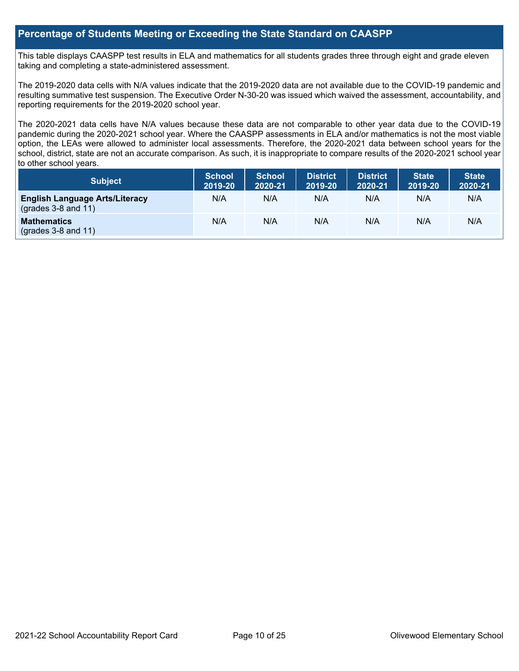# **Percentage of Students Meeting or Exceeding the State Standard on CAASPP**

 taking and completing a state-administered assessment. This table displays CAASPP test results in ELA and mathematics for all students grades three through eight and grade eleven

The 2019-2020 data cells with N/A values indicate that the 2019-2020 data are not available due to the COVID-19 pandemic and resulting summative test suspension. The Executive Order N-30-20 was issued which waived the assessment, accountability, and reporting requirements for the 2019-2020 school year.

 pandemic during the 2020-2021 school year. Where the CAASPP assessments in ELA and/or mathematics is not the most viable school, district, state are not an accurate comparison. As such, it is inappropriate to compare results of the 2020-2021 school year The 2020-2021 data cells have N/A values because these data are not comparable to other year data due to the COVID-19 option, the LEAs were allowed to administer local assessments. Therefore, the 2020-2021 data between school years for the to other school years.

| <b>Subject</b>                                                       | <b>School</b><br>2019-20 | <b>School</b><br>2020-21 | <b>District</b><br>2019-20 | <b>District</b><br>2020-21 | <b>State</b><br>2019-20 | <b>State</b><br>2020-21 |
|----------------------------------------------------------------------|--------------------------|--------------------------|----------------------------|----------------------------|-------------------------|-------------------------|
| <b>English Language Arts/Literacy</b><br>$\left($ grades 3-8 and 11) | N/A                      | N/A                      | N/A                        | N/A                        | N/A                     | N/A                     |
| <b>Mathematics</b><br>$(grades 3-8 and 11)$                          | N/A                      | N/A                      | N/A                        | N/A                        | N/A                     | N/A                     |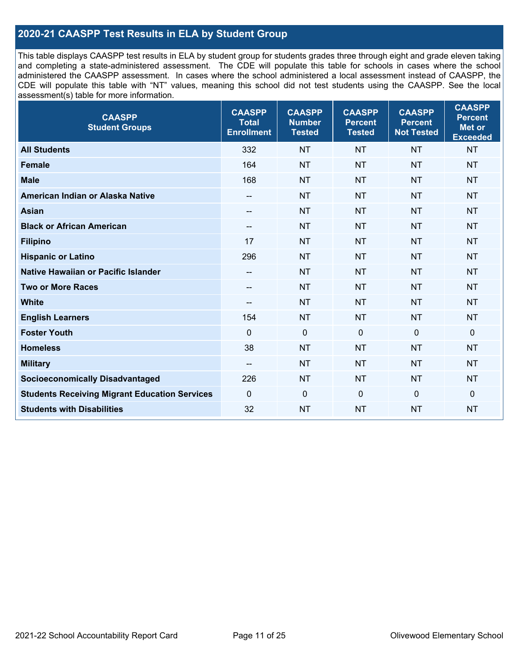# **2020-21 CAASPP Test Results in ELA by Student Group**

 and completing a state-administered assessment. The CDE will populate this table for schools in cases where the school CDE will populate this table with "NT" values, meaning this school did not test students using the CAASPP. See the local This table displays CAASPP test results in ELA by student group for students grades three through eight and grade eleven taking administered the CAASPP assessment. In cases where the school administered a local assessment instead of CAASPP, the assessment(s) table for more information.

| <b>CAASPP</b><br><b>Student Groups</b>               | <b>CAASPP</b><br><b>Total</b><br><b>Enrollment</b> | <b>CAASPP</b><br><b>Number</b><br><b>Tested</b> | <b>CAASPP</b><br><b>Percent</b><br><b>Tested</b> | <b>CAASPP</b><br><b>Percent</b><br><b>Not Tested</b> | <b>CAASPP</b><br><b>Percent</b><br>Met or<br><b>Exceeded</b> |
|------------------------------------------------------|----------------------------------------------------|-------------------------------------------------|--------------------------------------------------|------------------------------------------------------|--------------------------------------------------------------|
| <b>All Students</b>                                  | 332                                                | <b>NT</b>                                       | <b>NT</b>                                        | <b>NT</b>                                            | <b>NT</b>                                                    |
| <b>Female</b>                                        | 164                                                | <b>NT</b>                                       | <b>NT</b>                                        | <b>NT</b>                                            | <b>NT</b>                                                    |
| <b>Male</b>                                          | 168                                                | <b>NT</b>                                       | <b>NT</b>                                        | <b>NT</b>                                            | <b>NT</b>                                                    |
| American Indian or Alaska Native                     | $-\!$                                              | <b>NT</b>                                       | <b>NT</b>                                        | <b>NT</b>                                            | <b>NT</b>                                                    |
| <b>Asian</b>                                         |                                                    | <b>NT</b>                                       | <b>NT</b>                                        | <b>NT</b>                                            | <b>NT</b>                                                    |
| <b>Black or African American</b>                     | $- -$                                              | <b>NT</b>                                       | <b>NT</b>                                        | <b>NT</b>                                            | <b>NT</b>                                                    |
| <b>Filipino</b>                                      | 17                                                 | <b>NT</b>                                       | <b>NT</b>                                        | <b>NT</b>                                            | <b>NT</b>                                                    |
| <b>Hispanic or Latino</b>                            | 296                                                | <b>NT</b>                                       | <b>NT</b>                                        | <b>NT</b>                                            | <b>NT</b>                                                    |
| Native Hawaiian or Pacific Islander                  | $-\!$                                              | <b>NT</b>                                       | <b>NT</b>                                        | <b>NT</b>                                            | <b>NT</b>                                                    |
| <b>Two or More Races</b>                             | $-\!$                                              | <b>NT</b>                                       | <b>NT</b>                                        | <b>NT</b>                                            | <b>NT</b>                                                    |
| <b>White</b>                                         | $\overline{\phantom{a}}$                           | <b>NT</b>                                       | <b>NT</b>                                        | <b>NT</b>                                            | <b>NT</b>                                                    |
| <b>English Learners</b>                              | 154                                                | <b>NT</b>                                       | <b>NT</b>                                        | <b>NT</b>                                            | <b>NT</b>                                                    |
| <b>Foster Youth</b>                                  | $\mathbf{0}$                                       | $\mathbf 0$                                     | $\Omega$                                         | $\mathbf{0}$                                         | 0                                                            |
| <b>Homeless</b>                                      | 38                                                 | <b>NT</b>                                       | <b>NT</b>                                        | <b>NT</b>                                            | <b>NT</b>                                                    |
| <b>Military</b>                                      | $-\!$                                              | <b>NT</b>                                       | <b>NT</b>                                        | <b>NT</b>                                            | <b>NT</b>                                                    |
| <b>Socioeconomically Disadvantaged</b>               | 226                                                | <b>NT</b>                                       | <b>NT</b>                                        | <b>NT</b>                                            | <b>NT</b>                                                    |
| <b>Students Receiving Migrant Education Services</b> | $\mathbf{0}$                                       | $\mathbf 0$                                     | $\mathbf{0}$                                     | $\mathbf 0$                                          | 0                                                            |
| <b>Students with Disabilities</b>                    | 32                                                 | <b>NT</b>                                       | <b>NT</b>                                        | <b>NT</b>                                            | <b>NT</b>                                                    |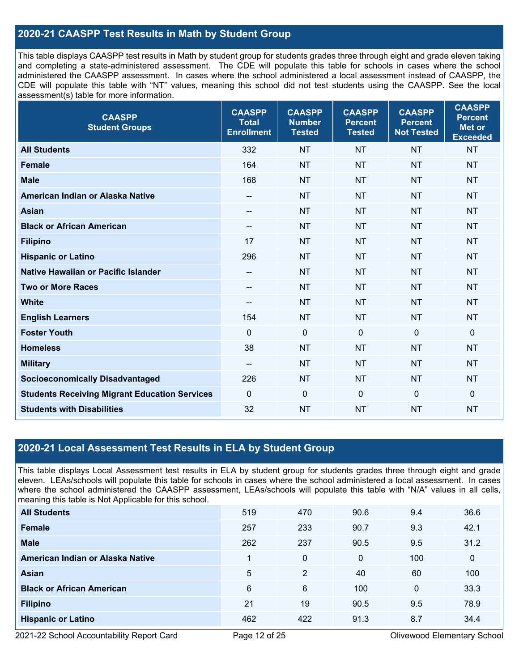# **2020-21 CAASPP Test Results in Math by Student Group**

 This table displays CAASPP test results in Math by student group for students grades three through eight and grade eleven taking and completing a state-administered assessment. The CDE will populate this table for schools in cases where the school CDE will populate this table with "NT" values, meaning this school did not test students using the CAASPP. See the local administered the CAASPP assessment. In cases where the school administered a local assessment instead of CAASPP, the assessment(s) table for more information.

| <b>CAASPP</b><br><b>Student Groups</b>               | <b>CAASPP</b><br><b>Total</b><br><b>Enrollment</b> | <b>CAASPP</b><br><b>Number</b><br><b>Tested</b> | <b>CAASPP</b><br><b>Percent</b><br><b>Tested</b> | <b>CAASPP</b><br><b>Percent</b><br><b>Not Tested</b> | <b>CAASPP</b><br><b>Percent</b><br><b>Met or</b><br><b>Exceeded</b> |
|------------------------------------------------------|----------------------------------------------------|-------------------------------------------------|--------------------------------------------------|------------------------------------------------------|---------------------------------------------------------------------|
| <b>All Students</b>                                  | 332                                                | <b>NT</b>                                       | <b>NT</b>                                        | <b>NT</b>                                            | <b>NT</b>                                                           |
| <b>Female</b>                                        | 164                                                | <b>NT</b>                                       | <b>NT</b>                                        | <b>NT</b>                                            | <b>NT</b>                                                           |
| <b>Male</b>                                          | 168                                                | <b>NT</b>                                       | <b>NT</b>                                        | <b>NT</b>                                            | <b>NT</b>                                                           |
| American Indian or Alaska Native                     | $\qquad \qquad -$                                  | <b>NT</b>                                       | <b>NT</b>                                        | <b>NT</b>                                            | <b>NT</b>                                                           |
| <b>Asian</b>                                         |                                                    | <b>NT</b>                                       | <b>NT</b>                                        | <b>NT</b>                                            | <b>NT</b>                                                           |
| <b>Black or African American</b>                     | $-\!$ $\!-$                                        | <b>NT</b>                                       | <b>NT</b>                                        | <b>NT</b>                                            | <b>NT</b>                                                           |
| <b>Filipino</b>                                      | 17                                                 | <b>NT</b>                                       | <b>NT</b>                                        | <b>NT</b>                                            | <b>NT</b>                                                           |
| <b>Hispanic or Latino</b>                            | 296                                                | <b>NT</b>                                       | <b>NT</b>                                        | <b>NT</b>                                            | <b>NT</b>                                                           |
| <b>Native Hawaiian or Pacific Islander</b>           | $-\!$ $\!-$                                        | <b>NT</b>                                       | <b>NT</b>                                        | <b>NT</b>                                            | <b>NT</b>                                                           |
| <b>Two or More Races</b>                             | $\hspace{0.05cm}$                                  | <b>NT</b>                                       | <b>NT</b>                                        | <b>NT</b>                                            | <b>NT</b>                                                           |
| <b>White</b>                                         | $-\!$ $\!-$                                        | <b>NT</b>                                       | <b>NT</b>                                        | <b>NT</b>                                            | <b>NT</b>                                                           |
| <b>English Learners</b>                              | 154                                                | <b>NT</b>                                       | <b>NT</b>                                        | <b>NT</b>                                            | <b>NT</b>                                                           |
| <b>Foster Youth</b>                                  | $\Omega$                                           | $\mathbf 0$                                     | $\Omega$                                         | 0                                                    | $\mathbf 0$                                                         |
| <b>Homeless</b>                                      | 38                                                 | <b>NT</b>                                       | <b>NT</b>                                        | <b>NT</b>                                            | <b>NT</b>                                                           |
| <b>Military</b>                                      | $-\!$ $\!-$                                        | <b>NT</b>                                       | <b>NT</b>                                        | <b>NT</b>                                            | <b>NT</b>                                                           |
| <b>Socioeconomically Disadvantaged</b>               | 226                                                | <b>NT</b>                                       | <b>NT</b>                                        | <b>NT</b>                                            | <b>NT</b>                                                           |
| <b>Students Receiving Migrant Education Services</b> | $\mathbf{0}$                                       | $\mathbf 0$                                     | $\mathbf 0$                                      | 0                                                    | $\mathbf 0$                                                         |
| <b>Students with Disabilities</b>                    | 32                                                 | <b>NT</b>                                       | <b>NT</b>                                        | <b>NT</b>                                            | <b>NT</b>                                                           |

# **2020-21 Local Assessment Test Results in ELA by Student Group**

 eleven. LEAs/schools will populate this table for schools in cases where the school administered a local assessment. In cases This table displays Local Assessment test results in ELA by student group for students grades three through eight and grade where the school administered the CAASPP assessment, LEAs/schools will populate this table with "N/A" values in all cells, meaning this table is Not Applicable for this school.

| <b>All Students</b>              | 519 | 470 | 90.6        | 9.4          | 36.6        |
|----------------------------------|-----|-----|-------------|--------------|-------------|
| <b>Female</b>                    | 257 | 233 | 90.7        | 9.3          | 42.1        |
| <b>Male</b>                      | 262 | 237 | 90.5        | 9.5          | 31.2        |
| American Indian or Alaska Native |     | 0   | $\mathbf 0$ | 100          | $\mathbf 0$ |
| <b>Asian</b>                     | 5   | 2   | 40          | 60           | 100         |
| <b>Black or African American</b> | 6   | 6   | 100         | $\mathbf{0}$ | 33.3        |
| <b>Filipino</b>                  | 21  | 19  | 90.5        | 9.5          | 78.9        |
| <b>Hispanic or Latino</b>        | 462 | 422 | 91.3        | 8.7          | 34.4        |

2021-22 School Accountability Report Card **Page 12 of 25** Page 12 of 25 Olivewood Elementary School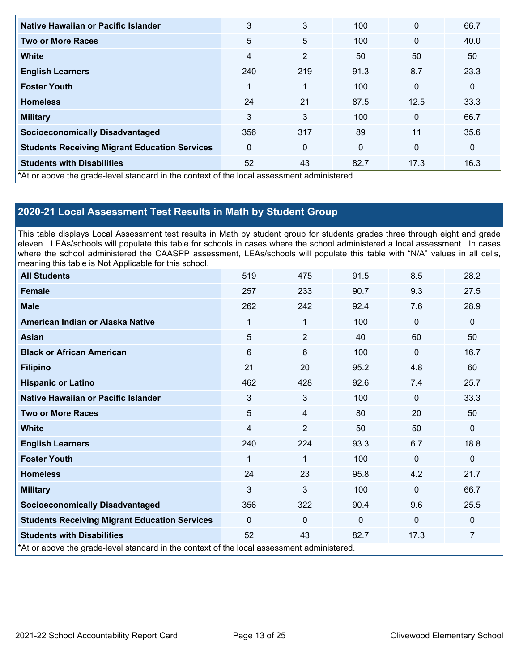| Native Hawaiian or Pacific Islander                                                        | 3              | 3              | 100          | $\mathbf{0}$ | 66.7        |
|--------------------------------------------------------------------------------------------|----------------|----------------|--------------|--------------|-------------|
| <b>Two or More Races</b>                                                                   | 5              | 5              | 100          | $\mathbf{0}$ | 40.0        |
| <b>White</b>                                                                               | $\overline{4}$ | $\overline{2}$ | 50           | 50           | 50          |
| <b>English Learners</b>                                                                    | 240            | 219            | 91.3         | 8.7          | 23.3        |
| <b>Foster Youth</b>                                                                        | 1              | $\mathbf{1}$   | 100          | $\mathbf{0}$ | $\mathbf 0$ |
| <b>Homeless</b>                                                                            | 24             | 21             | 87.5         | 12.5         | 33.3        |
| <b>Military</b>                                                                            | 3              | 3              | 100          | $\mathbf{0}$ | 66.7        |
| <b>Socioeconomically Disadvantaged</b>                                                     | 356            | 317            | 89           | 11           | 35.6        |
| <b>Students Receiving Migrant Education Services</b>                                       | $\mathbf{0}$   | 0              | $\mathbf{0}$ | $\mathbf{0}$ | $\mathbf 0$ |
| <b>Students with Disabilities</b>                                                          | 52             | 43             | 82.7         | 17.3         | 16.3        |
| *At or above the grade-level standard in the context of the local assessment administered. |                |                |              |              |             |

# **2020-21 Local Assessment Test Results in Math by Student Group**

 This table displays Local Assessment test results in Math by student group for students grades three through eight and grade eleven. LEAs/schools will populate this table for schools in cases where the school administered a local assessment. In cases where the school administered the CAASPP assessment, LEAs/schools will populate this table with "N/A" values in all cells, meaning this table is Not Applicable for this school.

| <b>All Students</b>                                                                        | 519          | 475            | 91.5     | 8.5          | 28.2         |
|--------------------------------------------------------------------------------------------|--------------|----------------|----------|--------------|--------------|
| <b>Female</b>                                                                              | 257          | 233            | 90.7     | 9.3          | 27.5         |
| <b>Male</b>                                                                                | 262          | 242            | 92.4     | 7.6          | 28.9         |
| American Indian or Alaska Native                                                           | 1            | 1              | 100      | $\mathbf{0}$ | $\mathbf 0$  |
| <b>Asian</b>                                                                               | 5            | $\overline{2}$ | 40       | 60           | 50           |
| <b>Black or African American</b>                                                           | 6            | 6              | 100      | $\mathbf{0}$ | 16.7         |
| <b>Filipino</b>                                                                            | 21           | 20             | 95.2     | 4.8          | 60           |
| <b>Hispanic or Latino</b>                                                                  | 462          | 428            | 92.6     | 7.4          | 25.7         |
| <b>Native Hawaiian or Pacific Islander</b>                                                 | 3            | 3              | 100      | $\mathbf{0}$ | 33.3         |
| <b>Two or More Races</b>                                                                   | 5            | 4              | 80       | 20           | 50           |
| <b>White</b>                                                                               | 4            | $\overline{2}$ | 50       | 50           | $\mathbf{0}$ |
| <b>English Learners</b>                                                                    | 240          | 224            | 93.3     | 6.7          | 18.8         |
| <b>Foster Youth</b>                                                                        | 1            | $\mathbf{1}$   | 100      | $\Omega$     | $\mathbf{0}$ |
| <b>Homeless</b>                                                                            | 24           | 23             | 95.8     | 4.2          | 21.7         |
| <b>Military</b>                                                                            | 3            | 3              | 100      | $\Omega$     | 66.7         |
| <b>Socioeconomically Disadvantaged</b>                                                     | 356          | 322            | 90.4     | 9.6          | 25.5         |
| <b>Students Receiving Migrant Education Services</b>                                       | $\mathbf{0}$ | $\Omega$       | $\Omega$ | $\mathbf 0$  | $\mathbf 0$  |
| <b>Students with Disabilities</b>                                                          | 52           | 43             | 82.7     | 17.3         | 7            |
| *At or above the grade-level standard in the context of the local assessment administered. |              |                |          |              |              |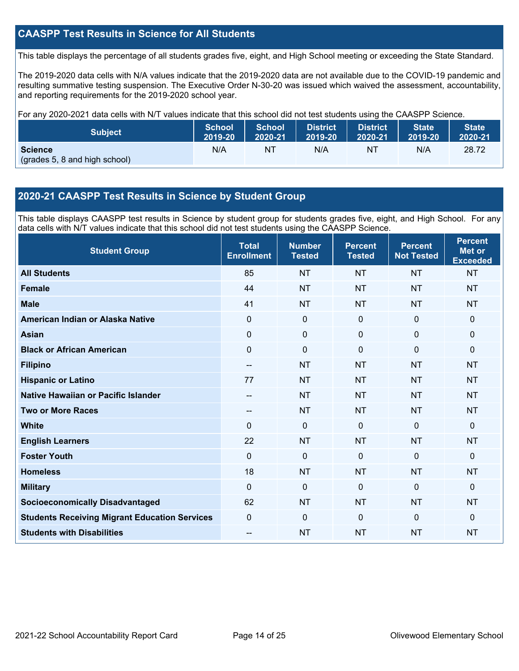# **CAASPP Test Results in Science for All Students**

This table displays the percentage of all students grades five, eight, and High School meeting or exceeding the State Standard.

 resulting summative testing suspension. The Executive Order N-30-20 was issued which waived the assessment, accountability, and reporting requirements for the 2019-2020 school year. The 2019-2020 data cells with N/A values indicate that the 2019-2020 data are not available due to the COVID-19 pandemic and

For any 2020-2021 data cells with N/T values indicate that this school did not test students using the CAASPP Science.

| <b>Subject</b>                                  | <b>School</b> | <b>School</b> | <b>District</b> | <b>District</b> | <b>State</b> | <b>State</b> |
|-------------------------------------------------|---------------|---------------|-----------------|-----------------|--------------|--------------|
|                                                 | 2019-20       | 2020-21       | 2019-20         | 2020-21         | 2019-20      | 2020-21      |
| <b>Science</b><br>(grades 5, 8 and high school) | N/A           | N1            | N/A             | NT              | N/A          | 28.72        |

# **2020-21 CAASPP Test Results in Science by Student Group**

 This table displays CAASPP test results in Science by student group for students grades five, eight, and High School. For any data cells with N/T values indicate that this school did not test students using the CAASPP Science.

| <b>Student Group</b>                                 | <b>Total</b><br><b>Enrollment</b> | <b>Number</b><br><b>Tested</b> | <b>Percent</b><br><b>Tested</b> | <b>Percent</b><br><b>Not Tested</b> | <b>Percent</b><br><b>Met or</b><br><b>Exceeded</b> |
|------------------------------------------------------|-----------------------------------|--------------------------------|---------------------------------|-------------------------------------|----------------------------------------------------|
| <b>All Students</b>                                  | 85                                | <b>NT</b>                      | <b>NT</b>                       | <b>NT</b>                           | <b>NT</b>                                          |
| <b>Female</b>                                        | 44                                | <b>NT</b>                      | <b>NT</b>                       | <b>NT</b>                           | <b>NT</b>                                          |
| <b>Male</b>                                          | 41                                | <b>NT</b>                      | <b>NT</b>                       | <b>NT</b>                           | <b>NT</b>                                          |
| American Indian or Alaska Native                     | 0                                 | $\mathbf 0$                    | $\mathbf 0$                     | $\mathbf 0$                         | $\mathbf{0}$                                       |
| <b>Asian</b>                                         | $\mathbf 0$                       | $\mathbf 0$                    | $\mathbf 0$                     | $\mathbf 0$                         | $\mathbf 0$                                        |
| <b>Black or African American</b>                     | $\pmb{0}$                         | $\mathbf 0$                    | $\mathbf 0$                     | $\mathbf 0$                         | $\mathbf 0$                                        |
| <b>Filipino</b>                                      | $\qquad \qquad -$                 | <b>NT</b>                      | <b>NT</b>                       | <b>NT</b>                           | <b>NT</b>                                          |
| <b>Hispanic or Latino</b>                            | 77                                | <b>NT</b>                      | <b>NT</b>                       | <b>NT</b>                           | <b>NT</b>                                          |
| Native Hawaiian or Pacific Islander                  | $-$                               | <b>NT</b>                      | <b>NT</b>                       | <b>NT</b>                           | <b>NT</b>                                          |
| <b>Two or More Races</b>                             | $\qquad \qquad -$                 | <b>NT</b>                      | <b>NT</b>                       | <b>NT</b>                           | <b>NT</b>                                          |
| <b>White</b>                                         | $\Omega$                          | $\mathbf 0$                    | $\mathbf{0}$                    | $\mathbf 0$                         | $\mathbf{0}$                                       |
| <b>English Learners</b>                              | 22                                | <b>NT</b>                      | <b>NT</b>                       | <b>NT</b>                           | <b>NT</b>                                          |
| <b>Foster Youth</b>                                  | $\mathbf 0$                       | $\mathbf 0$                    | $\mathbf 0$                     | $\mathbf 0$                         | $\mathbf{0}$                                       |
| <b>Homeless</b>                                      | 18                                | <b>NT</b>                      | <b>NT</b>                       | <b>NT</b>                           | <b>NT</b>                                          |
| <b>Military</b>                                      | $\Omega$                          | 0                              | $\mathbf{0}$                    | $\mathbf 0$                         | $\mathbf 0$                                        |
| <b>Socioeconomically Disadvantaged</b>               | 62                                | <b>NT</b>                      | <b>NT</b>                       | <b>NT</b>                           | <b>NT</b>                                          |
| <b>Students Receiving Migrant Education Services</b> | 0                                 | 0                              | $\Omega$                        | $\Omega$                            | $\mathbf{0}$                                       |
| <b>Students with Disabilities</b>                    | $-$                               | <b>NT</b>                      | <b>NT</b>                       | <b>NT</b>                           | <b>NT</b>                                          |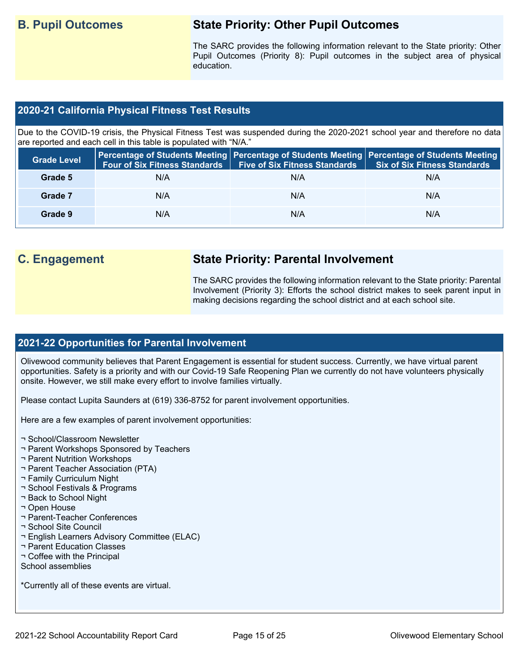# **B. Pupil Outcomes State Priority: Other Pupil Outcomes**

 Pupil Outcomes (Priority 8): Pupil outcomes in the subject area of physical The SARC provides the following information relevant to the State priority: Other education.

# **2020-21 California Physical Fitness Test Results**

 Due to the COVID-19 crisis, the Physical Fitness Test was suspended during the 2020-2021 school year and therefore no data are reported and each cell in this table is populated with "N/A."

| <b>Grade Level</b> | <b>Four of Six Fitness Standards</b> | <b>Five of Six Fitness Standards   Six of Six Fitness Standards</b> | Percentage of Students Meeting   Percentage of Students Meeting   Percentage of Students Meeting |
|--------------------|--------------------------------------|---------------------------------------------------------------------|--------------------------------------------------------------------------------------------------|
| Grade 5            | N/A                                  | N/A                                                                 | N/A                                                                                              |
| Grade 7            | N/A                                  | N/A                                                                 | N/A                                                                                              |
| Grade 9            | N/A                                  | N/A                                                                 | N/A                                                                                              |

# **C. Engagement State Priority: Parental Involvement**

The SARC provides the following information relevant to the State priority: Parental Involvement (Priority 3): Efforts the school district makes to seek parent input in making decisions regarding the school district and at each school site.

# **2021-22 Opportunities for Parental Involvement**

Olivewood community believes that Parent Engagement is essential for student success. Currently, we have virtual parent opportunities. Safety is a priority and with our Covid-19 Safe Reopening Plan we currently do not have volunteers physically onsite. However, we still make every effort to involve families virtually.

Please contact Lupita Saunders at (619) 336-8752 for parent involvement opportunities.

Here are a few examples of parent involvement opportunities:

- ¬ School/Classroom Newsletter
- ¬ Parent Workshops Sponsored by Teachers
- ¬ Parent Nutrition Workshops
- ¬ Parent Teacher Association (PTA)
- ¬ Family Curriculum Night
- ¬ School Festivals & Programs
- ¬ Back to School Night
- ¬ Open House
- ¬ Parent-Teacher Conferences
- ¬ School Site Council
- ¬ English Learners Advisory Committee (ELAC)
- ¬ Parent Education Classes
- ¬ Coffee with the Principal
- School assemblies

\*Currently all of these events are virtual.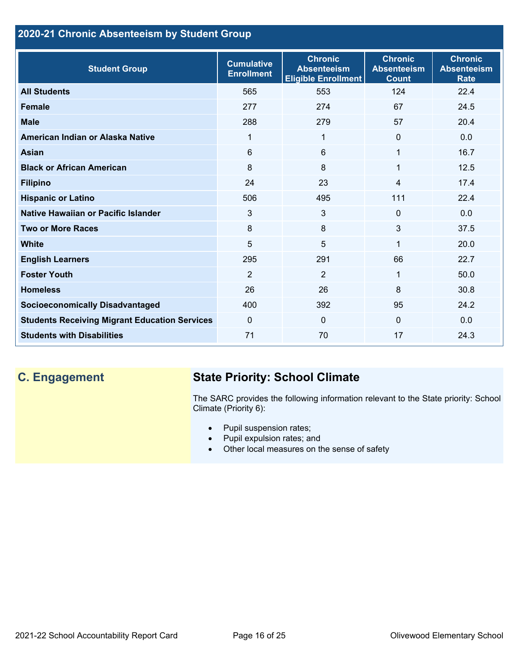# **2020-21 Chronic Absenteeism by Student Group**

| <b>Student Group</b>                                 | <b>Cumulative</b><br><b>Enrollment</b> | <b>Chronic</b><br><b>Absenteeism</b><br><b>Eligible Enrollment</b> | <b>Chronic</b><br><b>Absenteeism</b><br><b>Count</b> | <b>Chronic</b><br><b>Absenteeism</b><br><b>Rate</b> |
|------------------------------------------------------|----------------------------------------|--------------------------------------------------------------------|------------------------------------------------------|-----------------------------------------------------|
| <b>All Students</b>                                  | 565                                    | 553                                                                | 124                                                  | 22.4                                                |
| <b>Female</b>                                        | 277                                    | 274                                                                | 67                                                   | 24.5                                                |
| <b>Male</b>                                          | 288                                    | 279                                                                | 57                                                   | 20.4                                                |
| American Indian or Alaska Native                     | 1                                      | 1                                                                  | $\mathbf{0}$                                         | 0.0                                                 |
| <b>Asian</b>                                         | 6                                      | 6                                                                  | 1                                                    | 16.7                                                |
| <b>Black or African American</b>                     | 8                                      | 8                                                                  | 1                                                    | 12.5                                                |
| <b>Filipino</b>                                      | 24                                     | 23                                                                 | $\overline{4}$                                       | 17.4                                                |
| <b>Hispanic or Latino</b>                            | 506                                    | 495                                                                | 111                                                  | 22.4                                                |
| Native Hawaiian or Pacific Islander                  | 3                                      | 3                                                                  | $\mathbf 0$                                          | 0.0                                                 |
| <b>Two or More Races</b>                             | 8                                      | 8                                                                  | 3                                                    | 37.5                                                |
| White                                                | 5                                      | 5                                                                  | 1                                                    | 20.0                                                |
| <b>English Learners</b>                              | 295                                    | 291                                                                | 66                                                   | 22.7                                                |
| <b>Foster Youth</b>                                  | $\overline{2}$                         | $\overline{2}$                                                     | 1                                                    | 50.0                                                |
| <b>Homeless</b>                                      | 26                                     | 26                                                                 | 8                                                    | 30.8                                                |
| <b>Socioeconomically Disadvantaged</b>               | 400                                    | 392                                                                | 95                                                   | 24.2                                                |
| <b>Students Receiving Migrant Education Services</b> | $\mathbf{0}$                           | $\Omega$                                                           | $\Omega$                                             | 0.0                                                 |
| <b>Students with Disabilities</b>                    | 71                                     | 70                                                                 | 17                                                   | 24.3                                                |

# **C. Engagement State Priority: School Climate**

 The SARC provides the following information relevant to the State priority: School Climate (Priority 6):

- Pupil suspension rates;
- Pupil expulsion rates; and
- Other local measures on the sense of safety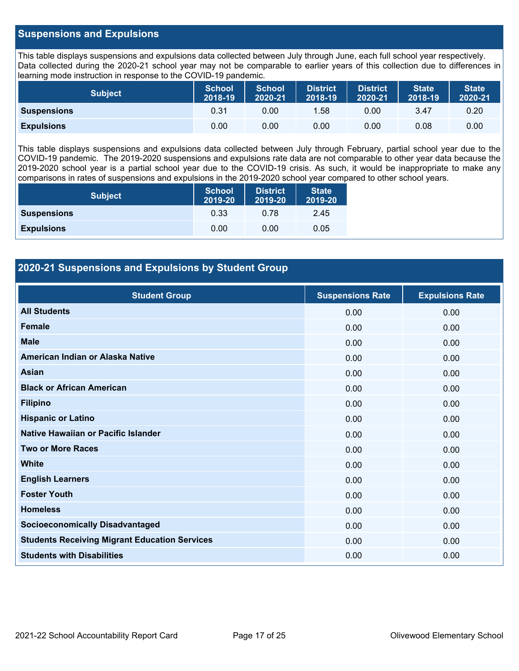# **Suspensions and Expulsions**

This table displays suspensions and expulsions data collected between July through June, each full school year respectively. This table displays suspensions and expulsions data collected between July through June, each full school year respectively.<br>Data collected during the 2020-21 school year may not be comparable to earlier years of this coll learning mode instruction in response to the COVID-19 pandemic.

| <b>Subject</b>     | <b>School</b><br>2018-19 | <b>School</b><br>2020-21 | <b>District</b><br>2018-19 | <b>District</b><br>2020-21 | <b>State</b><br>2018-19 | <b>State</b><br>2020-21 |
|--------------------|--------------------------|--------------------------|----------------------------|----------------------------|-------------------------|-------------------------|
| <b>Suspensions</b> | 0.31                     | 0.00                     | 1.58                       | 0.00                       | 3.47                    | 0.20                    |
| <b>Expulsions</b>  | 0.00                     | 0.00                     | 0.00                       | 0.00                       | 0.08                    | 0.00                    |

 2019-2020 school year is a partial school year due to the COVID-19 crisis. As such, it would be inappropriate to make any This table displays suspensions and expulsions data collected between July through February, partial school year due to the COVID-19 pandemic. The 2019-2020 suspensions and expulsions rate data are not comparable to other year data because the comparisons in rates of suspensions and expulsions in the 2019-2020 school year compared to other school years.

| <b>Subject</b>     | <b>School</b><br>2019-20 | <b>District</b><br>2019-20 | <b>State</b><br>2019-20 |
|--------------------|--------------------------|----------------------------|-------------------------|
| <b>Suspensions</b> | 0.33                     | 0.78                       | 2.45                    |
| <b>Expulsions</b>  | 0.00                     | 0.00                       | 0.05                    |

# **2020-21 Suspensions and Expulsions by Student Group**

| <b>Student Group</b>                                 | <b>Suspensions Rate</b> | <b>Expulsions Rate</b> |
|------------------------------------------------------|-------------------------|------------------------|
| <b>All Students</b>                                  | 0.00                    | 0.00                   |
| <b>Female</b>                                        | 0.00                    | 0.00                   |
| <b>Male</b>                                          | 0.00                    | 0.00                   |
| American Indian or Alaska Native                     | 0.00                    | 0.00                   |
| Asian                                                | 0.00                    | 0.00                   |
| <b>Black or African American</b>                     | 0.00                    | 0.00                   |
| <b>Filipino</b>                                      | 0.00                    | 0.00                   |
| <b>Hispanic or Latino</b>                            | 0.00                    | 0.00                   |
| Native Hawaiian or Pacific Islander                  | 0.00                    | 0.00                   |
| <b>Two or More Races</b>                             | 0.00                    | 0.00                   |
| <b>White</b>                                         | 0.00                    | 0.00                   |
| <b>English Learners</b>                              | 0.00                    | 0.00                   |
| <b>Foster Youth</b>                                  | 0.00                    | 0.00                   |
| <b>Homeless</b>                                      | 0.00                    | 0.00                   |
| <b>Socioeconomically Disadvantaged</b>               | 0.00                    | 0.00                   |
| <b>Students Receiving Migrant Education Services</b> | 0.00                    | 0.00                   |
| <b>Students with Disabilities</b>                    | 0.00                    | 0.00                   |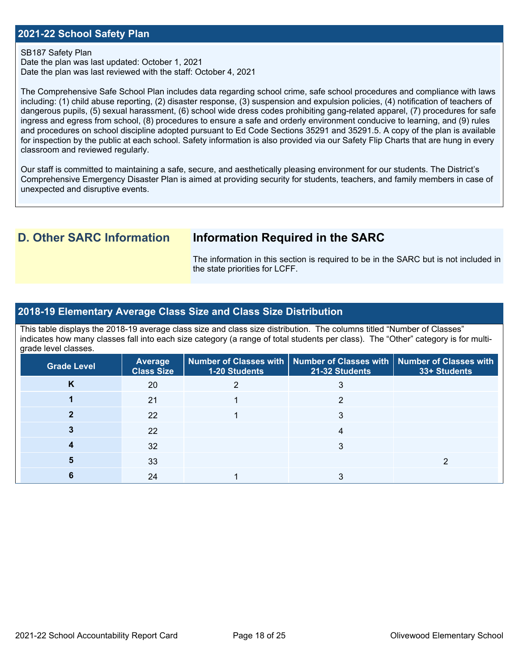# **2021-22 School Safety Plan**

### SB187 Safety Plan

 Date the plan was last reviewed with the staff: October 4, 2021 Date the plan was last updated: October 1, 2021

 for inspection by the public at each school. Safety information is also provided via our Safety Flip Charts that are hung in every The Comprehensive Safe School Plan includes data regarding school crime, safe school procedures and compliance with laws including: (1) child abuse reporting, (2) disaster response, (3) suspension and expulsion policies, (4) notification of teachers of dangerous pupils, (5) sexual harassment, (6) school wide dress codes prohibiting gang-related apparel, (7) procedures for safe ingress and egress from school, (8) procedures to ensure a safe and orderly environment conducive to learning, and (9) rules and procedures on school discipline adopted pursuant to Ed Code Sections 35291 and 35291.5. A copy of the plan is available classroom and reviewed regularly.

Our staff is committed to maintaining a safe, secure, and aesthetically pleasing environment for our students. The District's Comprehensive Emergency Disaster Plan is aimed at providing security for students, teachers, and family members in case of unexpected and disruptive events.

# **D. Other SARC Information Information Required in the SARC**

 The information in this section is required to be in the SARC but is not included in the state priorities for LCFF.

# **2018-19 Elementary Average Class Size and Class Size Distribution**

 indicates how many classes fall into each size category (a range of total students per class). The "Other" category is for multi-This table displays the 2018-19 average class size and class size distribution. The columns titled "Number of Classes" grade level classes.

| <b>Grade Level</b> | Average<br><b>Class Size</b> | 1-20 Students | Number of Classes with   Number of Classes with   Number of Classes with<br>21-32 Students | 33+ Students |
|--------------------|------------------------------|---------------|--------------------------------------------------------------------------------------------|--------------|
| K                  | 20                           |               |                                                                                            |              |
|                    | 21                           |               |                                                                                            |              |
|                    | 22                           |               | 3                                                                                          |              |
|                    | 22                           |               |                                                                                            |              |
|                    | 32                           |               |                                                                                            |              |
|                    | 33                           |               |                                                                                            |              |
|                    | 24                           |               |                                                                                            |              |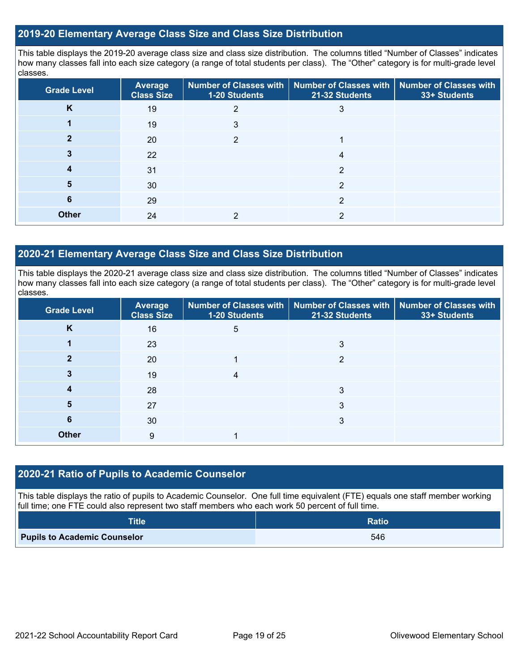# **2019-20 Elementary Average Class Size and Class Size Distribution**

This table displays the 2019-20 average class size and class size distribution. The columns titled "Number of Classes" indicates how many classes fall into each size category (a range of total students per class). The "Other" category is for multi-grade level classes.

| <b>Grade Level</b> | <b>Average</b><br><b>Class Size</b> | 1-20 Students | Number of Classes with   Number of Classes with   Number of Classes with<br>21-32 Students | 33+ Students |
|--------------------|-------------------------------------|---------------|--------------------------------------------------------------------------------------------|--------------|
| K                  | 19                                  |               | 3                                                                                          |              |
|                    | 19                                  | 3             |                                                                                            |              |
|                    | 20                                  | 2             |                                                                                            |              |
|                    | 22                                  |               | 4                                                                                          |              |
|                    | 31                                  |               | 2                                                                                          |              |
| 5                  | 30                                  |               | າ                                                                                          |              |
| 6                  | 29                                  |               | 2                                                                                          |              |
| <b>Other</b>       | 24                                  |               | 2                                                                                          |              |

# **2020-21 Elementary Average Class Size and Class Size Distribution**

This table displays the 2020-21 average class size and class size distribution. The columns titled "Number of Classes" indicates how many classes fall into each size category (a range of total students per class). The "Other" category is for multi-grade level classes.

| <b>Grade Level</b> | <b>Average</b><br><b>Class Size</b> | 1-20 Students | Number of Classes with   Number of Classes with   Number of Classes with<br>21-32 Students | 33+ Students |
|--------------------|-------------------------------------|---------------|--------------------------------------------------------------------------------------------|--------------|
| K                  | 16                                  | 5             |                                                                                            |              |
|                    | 23                                  |               | 3                                                                                          |              |
|                    | 20                                  |               | າ                                                                                          |              |
|                    | 19                                  |               |                                                                                            |              |
|                    | 28                                  |               | 3                                                                                          |              |
| 5                  | 27                                  |               | 3                                                                                          |              |
| 6                  | 30                                  |               | 3                                                                                          |              |
| <b>Other</b>       | 9                                   |               |                                                                                            |              |

# **2020-21 Ratio of Pupils to Academic Counselor**

This table displays the ratio of pupils to Academic Counselor. One full time equivalent (FTE) equals one staff member working full time; one FTE could also represent two staff members who each work 50 percent of full time.

| Title                               | <b>Ratio</b> |
|-------------------------------------|--------------|
| <b>Pupils to Academic Counselor</b> | 546          |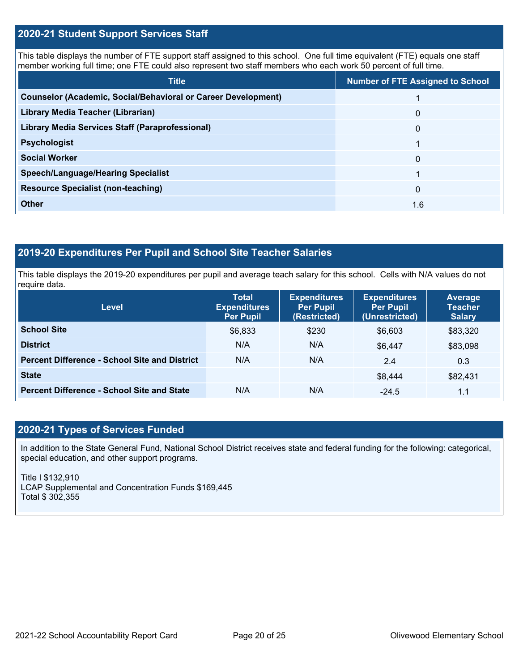# **2020-21 Student Support Services Staff**

This table displays the number of FTE support staff assigned to this school. One full time equivalent (FTE) equals one staff member working full time; one FTE could also represent two staff members who each work 50 percent of full time.

| <b>Title</b>                                                         | <b>Number of FTE Assigned to School</b> |
|----------------------------------------------------------------------|-----------------------------------------|
| <b>Counselor (Academic, Social/Behavioral or Career Development)</b> |                                         |
| Library Media Teacher (Librarian)                                    | $\mathbf{0}$                            |
| <b>Library Media Services Staff (Paraprofessional)</b>               | $\mathbf{0}$                            |
| <b>Psychologist</b>                                                  |                                         |
| <b>Social Worker</b>                                                 | $\Omega$                                |
| <b>Speech/Language/Hearing Specialist</b>                            |                                         |
| <b>Resource Specialist (non-teaching)</b>                            | $\Omega$                                |
| <b>Other</b>                                                         | 1.6                                     |

# **2019-20 Expenditures Per Pupil and School Site Teacher Salaries**

 This table displays the 2019-20 expenditures per pupil and average teach salary for this school. Cells with N/A values do not require data.

| <b>Level</b>                                         | <b>Total</b><br><b>Expenditures</b><br><b>Per Pupil</b> | <b>Expenditures</b><br><b>Per Pupil</b><br>(Restricted) | <b>Expenditures</b><br><b>Per Pupil</b><br>(Unrestricted) | Average<br><b>Teacher</b><br><b>Salary</b> |
|------------------------------------------------------|---------------------------------------------------------|---------------------------------------------------------|-----------------------------------------------------------|--------------------------------------------|
| <b>School Site</b>                                   | \$6,833                                                 | \$230                                                   | \$6,603                                                   | \$83,320                                   |
| <b>District</b>                                      | N/A                                                     | N/A                                                     | \$6.447                                                   | \$83,098                                   |
| <b>Percent Difference - School Site and District</b> | N/A                                                     | N/A                                                     | 2.4                                                       | 0.3                                        |
| <b>State</b>                                         |                                                         |                                                         | \$8,444                                                   | \$82,431                                   |
| <b>Percent Difference - School Site and State</b>    | N/A                                                     | N/A                                                     | $-24.5$                                                   | 1.1                                        |

# **2020-21 Types of Services Funded**

In addition to the State General Fund, National School District receives state and federal funding for the following: categorical, special education, and other support programs.

Title I \$132,910 LCAP Supplemental and Concentration Funds \$169,445 Total \$ 302,355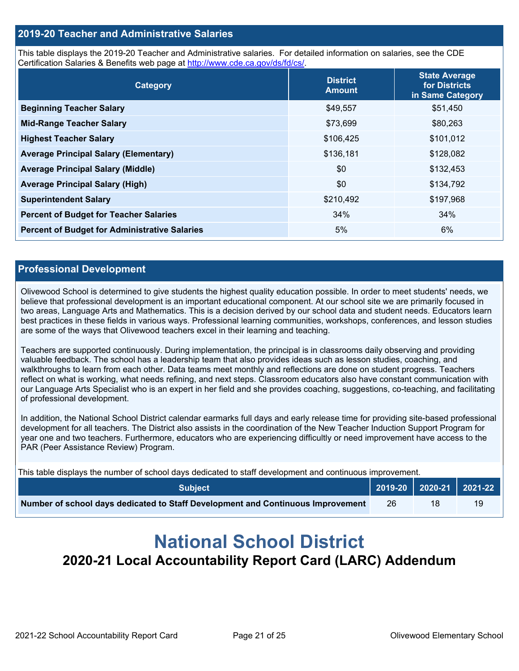# **2019-20 Teacher and Administrative Salaries**

This table displays the 2019-20 Teacher and Administrative salaries. For detailed information on salaries, see the CDE Certification Salaries & Benefits web page at<http://www.cde.ca.gov/ds/fd/cs/>.

| Category                                             | <b>District</b><br><b>Amount</b> | <b>State Average</b><br>for Districts<br>in Same Category |
|------------------------------------------------------|----------------------------------|-----------------------------------------------------------|
| <b>Beginning Teacher Salary</b>                      | \$49,557                         | \$51,450                                                  |
| <b>Mid-Range Teacher Salary</b>                      | \$73,699                         | \$80,263                                                  |
| <b>Highest Teacher Salary</b>                        | \$106,425                        | \$101,012                                                 |
| <b>Average Principal Salary (Elementary)</b>         | \$136,181                        | \$128,082                                                 |
| <b>Average Principal Salary (Middle)</b>             | \$0                              | \$132,453                                                 |
| <b>Average Principal Salary (High)</b>               | \$0                              | \$134,792                                                 |
| <b>Superintendent Salary</b>                         | \$210,492                        | \$197,968                                                 |
| <b>Percent of Budget for Teacher Salaries</b>        | 34%                              | 34%                                                       |
| <b>Percent of Budget for Administrative Salaries</b> | 5%                               | 6%                                                        |

## **Professional Development**

 believe that professional development is an important educational component. At our school site we are primarily focused in Olivewood School is determined to give students the highest quality education possible. In order to meet students' needs, we two areas, Language Arts and Mathematics. This is a decision derived by our school data and student needs. Educators learn best practices in these fields in various ways. Professional learning communities, workshops, conferences, and lesson studies are some of the ways that Olivewood teachers excel in their learning and teaching.

 Teachers are supported continuously. During implementation, the principal is in classrooms daily observing and providing valuable feedback. The school has a leadership team that also provides ideas such as lesson studies, coaching, and walkthroughs to learn from each other. Data teams meet monthly and reflections are done on student progress. Teachers reflect on what is working, what needs refining, and next steps. Classroom educators also have constant communication with our Language Arts Specialist who is an expert in her field and she provides coaching, suggestions, co-teaching, and facilitating of professional development.

 development for all teachers. The District also assists in the coordination of the New Teacher Induction Support Program for year one and two teachers. Furthermore, educators who are experiencing difficultly or need improvement have access to the In addition, the National School District calendar earmarks full days and early release time for providing site-based professional PAR (Peer Assistance Review) Program.

This table displays the number of school days dedicated to staff development and continuous improvement.

| <b>Subject</b>                                                                  |    | 2019-20 2020-21 2021-22 |    |
|---------------------------------------------------------------------------------|----|-------------------------|----|
| Number of school days dedicated to Staff Development and Continuous Improvement | 26 |                         | 19 |

# **National School District 2020-21 Local Accountability Report Card (LARC) Addendum**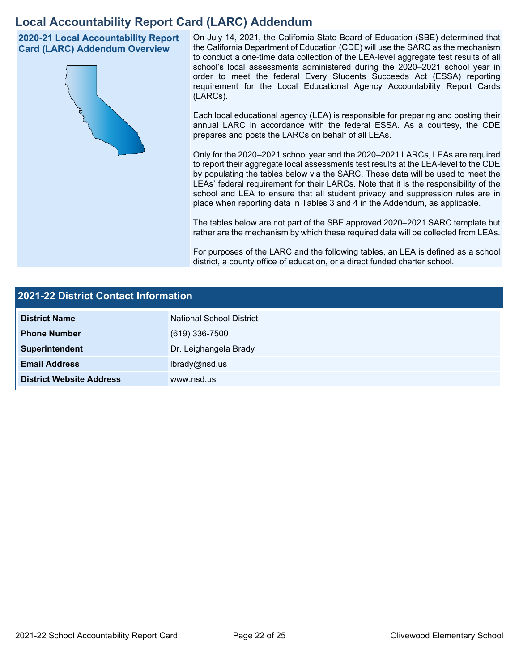# **Local Accountability Report Card (LARC) Addendum**

**2020-21 Local Accountability Report Card (LARC) Addendum Overview** 



 On July 14, 2021, the California State Board of Education (SBE) determined that the California Department of Education (CDE) will use the SARC as the mechanism to conduct a one-time data collection of the LEA-level aggregate test results of all school's local assessments administered during the 2020–2021 school year in order to meet the federal Every Students Succeeds Act (ESSA) reporting requirement for the Local Educational Agency Accountability Report Cards (LARCs).

Each local educational agency (LEA) is responsible for preparing and posting their annual LARC in accordance with the federal ESSA. As a courtesy, the CDE prepares and posts the LARCs on behalf of all LEAs.

 to report their aggregate local assessments test results at the LEA-level to the CDE by populating the tables below via the SARC. These data will be used to meet the Only for the 2020–2021 school year and the 2020–2021 LARCs, LEAs are required LEAs' federal requirement for their LARCs. Note that it is the responsibility of the school and LEA to ensure that all student privacy and suppression rules are in place when reporting data in Tables 3 and 4 in the Addendum, as applicable.

The tables below are not part of the SBE approved 2020–2021 SARC template but rather are the mechanism by which these required data will be collected from LEAs.

For purposes of the LARC and the following tables, an LEA is defined as a school district, a county office of education, or a direct funded charter school.

| 2021-22 District Contact Information |                          |  |
|--------------------------------------|--------------------------|--|
| <b>District Name</b>                 | National School District |  |
| <b>Phone Number</b>                  | $(619)$ 336-7500         |  |
| Superintendent                       | Dr. Leighangela Brady    |  |
| <b>Email Address</b>                 | lbrady@nsd.us            |  |
| <b>District Website Address</b>      | www.nsd.us               |  |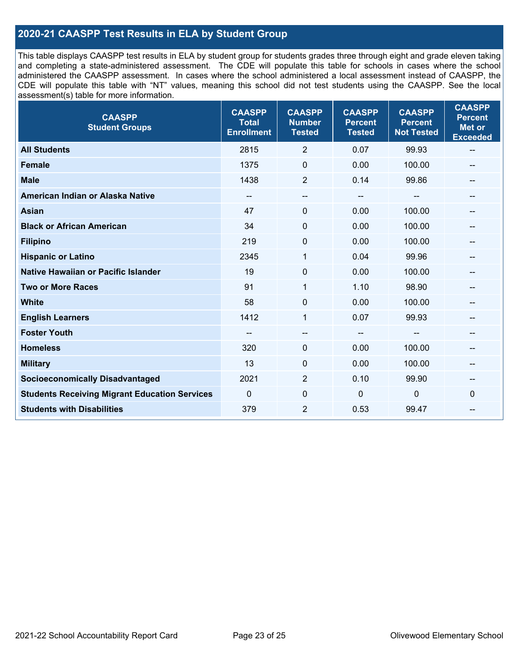# **2020-21 CAASPP Test Results in ELA by Student Group**

 and completing a state-administered assessment. The CDE will populate this table for schools in cases where the school CDE will populate this table with "NT" values, meaning this school did not test students using the CAASPP. See the local This table displays CAASPP test results in ELA by student group for students grades three through eight and grade eleven taking administered the CAASPP assessment. In cases where the school administered a local assessment instead of CAASPP, the assessment(s) table for more information.

| <b>CAASPP</b><br><b>Student Groups</b>               | <b>CAASPP</b><br><b>Total</b><br><b>Enrollment</b> | <b>CAASPP</b><br><b>Number</b><br><b>Tested</b> | <b>CAASPP</b><br><b>Percent</b><br><b>Tested</b> | <b>CAASPP</b><br><b>Percent</b><br><b>Not Tested</b> | <b>CAASPP</b><br><b>Percent</b><br><b>Met or</b><br><b>Exceeded</b> |
|------------------------------------------------------|----------------------------------------------------|-------------------------------------------------|--------------------------------------------------|------------------------------------------------------|---------------------------------------------------------------------|
| <b>All Students</b>                                  | 2815                                               | $\overline{2}$                                  | 0.07                                             | 99.93                                                | $\overline{\phantom{m}}$                                            |
| <b>Female</b>                                        | 1375                                               | $\mathbf 0$                                     | 0.00                                             | 100.00                                               |                                                                     |
| <b>Male</b>                                          | 1438                                               | $\overline{2}$                                  | 0.14                                             | 99.86                                                | --                                                                  |
| American Indian or Alaska Native                     | --                                                 | --                                              | $\overline{\phantom{a}}$                         | --                                                   | --                                                                  |
| <b>Asian</b>                                         | 47                                                 | 0                                               | 0.00                                             | 100.00                                               |                                                                     |
| <b>Black or African American</b>                     | 34                                                 | 0                                               | 0.00                                             | 100.00                                               |                                                                     |
| <b>Filipino</b>                                      | 219                                                | 0                                               | 0.00                                             | 100.00                                               |                                                                     |
| <b>Hispanic or Latino</b>                            | 2345                                               | 1                                               | 0.04                                             | 99.96                                                |                                                                     |
| <b>Native Hawaiian or Pacific Islander</b>           | 19                                                 | $\mathbf 0$                                     | 0.00                                             | 100.00                                               |                                                                     |
| <b>Two or More Races</b>                             | 91                                                 | $\mathbf{1}$                                    | 1.10                                             | 98.90                                                | --                                                                  |
| <b>White</b>                                         | 58                                                 | $\Omega$                                        | 0.00                                             | 100.00                                               | $\hspace{0.05cm}$                                                   |
| <b>English Learners</b>                              | 1412                                               | $\mathbf{1}$                                    | 0.07                                             | 99.93                                                |                                                                     |
| <b>Foster Youth</b>                                  |                                                    | $\overline{\phantom{0}}$                        | $-$                                              |                                                      |                                                                     |
| <b>Homeless</b>                                      | 320                                                | 0                                               | 0.00                                             | 100.00                                               | --                                                                  |
| <b>Military</b>                                      | 13                                                 | 0                                               | 0.00                                             | 100.00                                               | --                                                                  |
| <b>Socioeconomically Disadvantaged</b>               | 2021                                               | $\overline{2}$                                  | 0.10                                             | 99.90                                                | --                                                                  |
| <b>Students Receiving Migrant Education Services</b> | $\mathbf{0}$                                       | $\mathbf 0$                                     | $\mathbf{0}$                                     | 0                                                    | $\Omega$                                                            |
| <b>Students with Disabilities</b>                    | 379                                                | $\overline{2}$                                  | 0.53                                             | 99.47                                                |                                                                     |